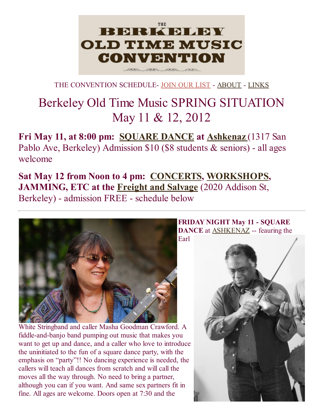## **BERKELEY OLD TIME MUSIC** CONVENTION 200305 20095

THE CONVENTION SCHEDULE- [JOIN](http://berkeleyoldtimemusic.org/subscribe.html) OUR LIST - [ABOUT](http://berkeleyoldtimemusic.org/about.html) - [LINKS](http://berkeleyoldtimemusic.org/links.html)

# Berkeley Old Time Music SPRING SITUATION May 11 & 12, 2012

Fri May 11, at 8:00 pm: [SQUARE](#page-0-0) DANCE at [Ashkenaz](http://www.ashkenaz.com/) (1317 San Pablo Ave, Berkeley) Admission \$10 (\$8 students & seniors) - all ages welcome

Sat May 12 from Noon to 4 pm: [CONCERTS,](#page-2-0) [WORKSHOPS,](#page-5-0) JAMMING, ETC at the Freight and [Salvage](http://www.freightandsalvage.org/) (2020 Addison St, Berkeley) - admission FREE - schedule below

<span id="page-0-0"></span>

White Stringband and caller Masha Goodman Crawford. A fiddle-and-banjo band pumping out music that makes you want to get up and dance, and a caller who love to introduce the uninitiated to the fun of a square dance party, with the emphasis on "party"!! No dancing experience is needed, the callers will teach all dances from scratch and will call the moves all the way through. No need to bring a partner, although you can if you want. And same sex partners fit in fine. All ages are welcome. Doors open at 7:30 and the

FRIDAY NIGHT May 11 - SQUARE **DANCE** at [ASHKENAZ](http://www.ashkenaz.com/) -- feauring the Earl

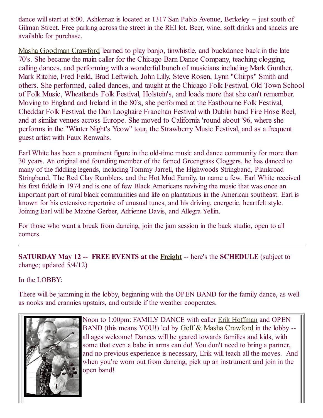dance will start at 8:00. Ashkenaz is located at 1317 San Pablo Avenue, Berkeley -- just south of Gilman Street. Free parking across the street in the REI lot. Beer, wine, soft drinks and snacks are available for purchase.

Masha [Goodman](http://www.oldsolesmusic.com/) Crawford learned to play banjo, tinwhistle, and buckdance back in the late 70's. She became the main caller for the Chicago Barn Dance Company, teaching clogging, calling dances, and performing with a wonderful bunch of musicians including Mark Gunther, Mark Ritchie, Fred Feild, Brad Leftwich, John Lilly, Steve Rosen, Lynn "Chirps" Smith and others. She performed, called dances, and taught at the Chicago Folk Festival, Old Town School of Folk Music, Wheatlands Folk Festival, Holstein's, and loads more that she can't remember. Moving to England and Ireland in the 80's, she performed at the Eastbourne Folk Festival, Cheddar Folk Festival, the Dun Laoghaire Fraochan Festival with Dublin band Fire Hose Reel, and at similar venues across Europe. She moved to California 'round about '96, where she performs in the "Winter Night's Yeow" tour, the Strawberry Music Festival, and as a frequent guest artist with Faux Renwahs.

Earl White has been a prominent figure in the old-time music and dance community for more than 30 years. An original and founding member of the famed Greengrass Cloggers, he has danced to many of the fiddling legends, including Tommy Jarrell, the Highwoods Stringband, Plankroad Stringband, The Red Clay Ramblers, and the Hot Mud Family, to name a few. Earl White received his first fiddle in 1974 and is one of few Black Americans reviving the music that was once an important part of rural black communities and life on plantations in the American southeast. Earl is known for his extensive repertoire of unusual tunes, and his driving, energetic, heartfelt style. Joining Earl will be Maxine Gerber, Adrienne Davis, and Allegra Yellin.

For those who want a break from dancing, join the jam session in the back studio, open to all comers.

#### SATURDAY May 12 -- FREE EVENTS at the [Freight](http://www.freightandsalvage.org/) -- here's the SCHEDULE (subject to change; updated 5/4/12)

In the LOBBY:

There will be jamming in the lobby, beginning with the OPEN BAND for the family dance, as well as nooks and crannies upstairs, and outside if the weather cooperates.



Noon to 1:00pm: FAMILY DANCE with caller Erik [Hoffman](http://www.erikhoffman.com/) and OPEN BAND (this means YOU!) led by Geff & Masha [Crawford](http://www.oldsolesmusic.com/) in the lobby -all ages welcome! Dances will be geared towards families and kids, with some that even a babe in arms can do! You don't need to bring a partner, and no previous experience is necessary, Erik will teach all the moves. And when you're worn out from dancing, pick up an instrument and join in the open band!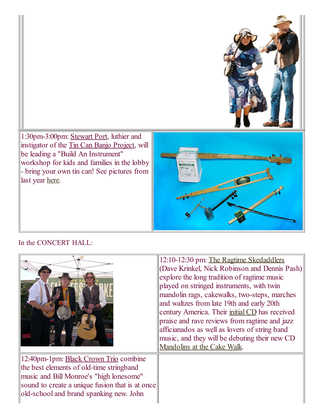1:30pm3:00pm: [Stewart](http://home.earthlink.net/~stewballsparlor/index.html) Port, luthier and instigator of the Tin Can Banjo [Project](http://www.tincanbanjo.com/), will be leading a "Build An Instrument" workshop for kids and families in the lobby bring your own tin can! See pictures from last year [here](http://www.flickr.com/photos/25674315@N03/sets/72157626526211103/).

### <span id="page-2-0"></span>In the CONCERT HALL:

|                                                                                                                                                                                                                            | 12:10-12:30 pm: The Ragtime Skedaddlers<br>(Dave Krinkel, Nick Robinson and Dennis Pash)<br>explore the long tradition of ragtime music<br>played on stringed instruments, with twin<br>mandolin rags, cakewalks, two-steps, marches<br>and waltzes from late 19th and early 20th<br>century America. Their <i>initial CD</i> has received<br>praise and rave reviews from ragtime and jazz<br>afficianados as well as lovers of string band<br>music, and they will be debuting their new CD<br>Mandolins at the Cake Walk. |
|----------------------------------------------------------------------------------------------------------------------------------------------------------------------------------------------------------------------------|------------------------------------------------------------------------------------------------------------------------------------------------------------------------------------------------------------------------------------------------------------------------------------------------------------------------------------------------------------------------------------------------------------------------------------------------------------------------------------------------------------------------------|
| 12:40pm-1pm: Black Crown Trio combine<br>the best elements of old-time stringband<br>music and Bill Monroe's "high lonesome"<br>sound to create a unique fusion that is at once<br>old-school and brand spanking new. John |                                                                                                                                                                                                                                                                                                                                                                                                                                                                                                                              |

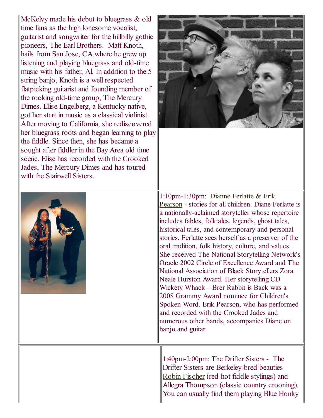McKelvy made his debut to bluegrass & old time fans as the high lonesome vocalist, guitarist and songwriter for the hillbilly gothic pioneers, The Earl Brothers. Matt Knoth, hails from San Jose, CA where he grew up listening and playing bluegrass and old-time music with his father, Al. In addition to the 5 string banjo, Knoth is a well respected flatpicking guitarist and founding member of the rocking old-time group, The Mercury Dimes. Elise Engelberg, a Kentucky native, got her start in music as a classical violinist. After moving to California, she rediscovered her bluegrass roots and began learning to play the fiddle. Since then, she has became a sought after fiddler in the Bay Area old time scene. Elise has recorded with the Crooked Jades, The Mercury Dimes and has toured with the Stairwell Sisters.





[1:10pm1:30pm:](http://www.dianeferlatte.com/) Dianne Ferlatte & Erik Pearson - stories for all children. Diane Ferlatte is a nationally-aclaimed storyteller whose repertoire includes fables, folktales, legends, ghost tales, historical tales, and contemporary and personal stories. Ferlatte sees herself as a preserver of the oral tradition, folk history, culture, and values. She received The National Storytelling Network's Oracle 2002 Circle of Excellence Award and The National Association of Black Storytellers Zora Neale Hurston Award. Her storytelling CD Wickety Whack—Brer Rabbit is Back was a 2008 Grammy Award nominee for Children's Spoken Word. Erik Pearson, who has performed and recorded with the Crooked Jades and numerous other bands, accompanies Diane on banjo and guitar.

1:40pm-2:00pm: The Drifter Sisters - The Drifter Sisters are Berkeley-bred beauties Robin [Fischer](http://www.robinrfischer.com/) (red-hot fiddle stylings) and Allegra Thompson (classic country crooning). You can usually find them playing Blue Honky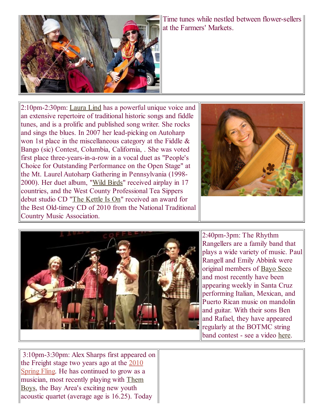

Time tunes while nestled between flower-sellers at the Farmers' Markets.

2:10pm2:30pm: [Laura](http://www.theteasippers.com/laura_bio.html) Lind has a powerful unique voice and an extensive repertoire of traditional historic songs and fiddle tunes, and is a prolific and published song writer. She rocks and sings the blues. In 2007 her lead-picking on Autoharp won 1st place in the miscellaneous category at the Fiddle & Bango (sic) Contest, Columbia, California, . She was voted first place three-years-in-a-row in a vocal duet as "People's Choice for Outstanding Performance on the Open Stage" at the Mt. Laurel Autoharp Gathering in Pennsylvania (1998 2000). Her duet album, "Wild [Birds"](http://www.cdbaby.com/cd/lindnmiller) received airplay in 17 countries, and the West County Professional Tea Sippers debut studio CD "The [Kettle](http://www.cdbaby.com/teasippers) Is On" received an award for the Best Old-timey CD of 2010 from the National Traditional Country Music Association.





2:40pm-3pm: The Rhythm Rangellers are a family band that plays a wide variety of music. Paul Rangell and Emily Abbink were original members of [Bayo](http://www.bayouseco.com/node/37) Seco and most recently have been appearing weekly in Santa Cruz performing Italian, Mexican, and Puerto Rican music on mandolin and guitar. With their sons Ben and Rafael, they have appeared regularly at the BOTMC string band contest - see a video [here.](http://www.youtube.com/watch?v=vWG2CQUKjXE)

3:10pm3:30pm: Alex Sharps first appeared on the Freight stage two years ago at the 2010 Spring Fling. He has [continued](http://berkeleyoldtimemusic.org/springfling.html) to grow as a [musician,](http://www.facebook.com/themboysband) most recently playing with Them Boys, the Bay Area's exciting new youth acoustic quartet (average age is 16.25). Today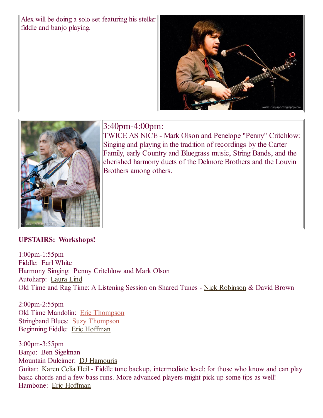Alex will be doing a solo set featuring his stellar fiddle and banjo playing.





3:40pm-4:00pm:

TWICE AS NICE - Mark Olson and Penelope "Penny" Critchlow: Singing and playing in the tradition of recordings by the Carter Family, early Country and Bluegrass music, String Bands, and the cherished harmony duets of the Delmore Brothers and the Louvin Brothers among others.

#### <span id="page-5-0"></span>UPSTAIRS: Workshops!

1:00pm1:55pm Fiddle: Earl White Harmony Singing: Penny Critchlow and Mark Olson Autoharp: [Laura](http://www.theteasippers.com/laura_bio.html) Lind Old Time and Rag Time: A Listening Session on Shared Tunes - Nick [Robinson](http://www.myspace.com/ragtimeskedaddlers) & David Brown

2:00pm2:55pm Old Time Mandolin: Eric [Thompson](http://www.ericandsuzy.com/) Stringband Blues: Suzy [Thompson](http://www.ericandsuzy.com/) Beginning Fiddle: Eric [Hoffman](http://www.erikhoffman.com/)

3:00pm3:55pm Banjo: Ben Sigelman Mountain Dulcimer: DJ [Hamouris](http://www.djhamouris.com/) Guitar: [Karen](http://www.knuckleknockers.com/) Celia Heil - Fiddle tune backup, intermediate level: for those who know and can play basic chords and a few bass runs. More advanced players might pick up some tips as well! Hambone: Eric [Hoffman](http://www.erikhoffman.com/)